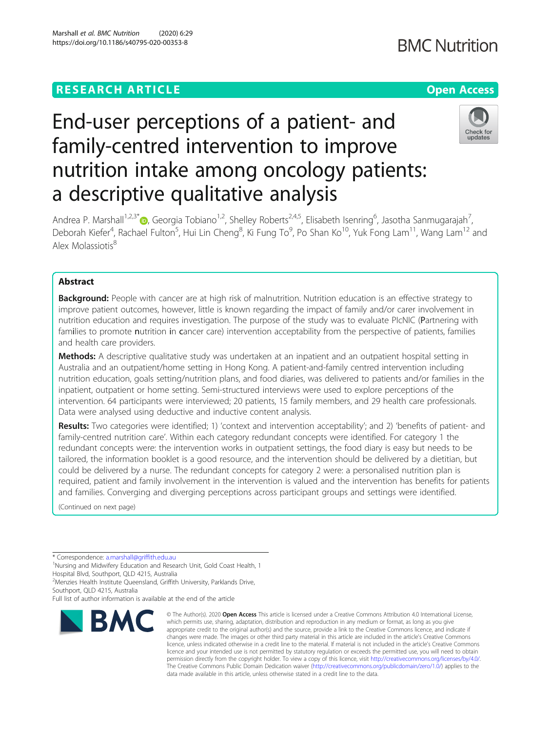## **RESEARCH ARTICLE Example 2014 12:30 The Contract of Contract ACCESS**

# End-user perceptions of a patient- and family-centred intervention to improve nutrition intake among oncology patients: a descriptive qualitative analysis



Andrea P. Marshall<sup>1[,](http://orcid.org/0000-0001-7692-403X)2,3\*</sup> (Georgia Tobiano<sup>1,2</sup>, Shelley Roberts<sup>2,4,5</sup>, Elisabeth Isenring<sup>6</sup>, Jasotha Sanmugarajah<sup>7</sup> , Deborah Kiefer<sup>4</sup>, Rachael Fulton<sup>5</sup>, Hui Lin Cheng<sup>8</sup>, Ki Fung To<sup>9</sup>, Po Shan Ko<sup>10</sup>, Yuk Fong Lam<sup>11</sup>, Wang Lam<sup>12</sup> and Alex Molassiotis<sup>8</sup>

### Abstract

Background: People with cancer are at high risk of malnutrition. Nutrition education is an effective strategy to improve patient outcomes, however, little is known regarding the impact of family and/or carer involvement in nutrition education and requires investigation. The purpose of the study was to evaluate PIcNIC (Partnering with families to promote nutrition in cancer care) intervention acceptability from the perspective of patients, families and health care providers.

Methods: A descriptive qualitative study was undertaken at an inpatient and an outpatient hospital setting in Australia and an outpatient/home setting in Hong Kong. A patient-and-family centred intervention including nutrition education, goals setting/nutrition plans, and food diaries, was delivered to patients and/or families in the inpatient, outpatient or home setting. Semi-structured interviews were used to explore perceptions of the intervention. 64 participants were interviewed; 20 patients, 15 family members, and 29 health care professionals. Data were analysed using deductive and inductive content analysis.

Results: Two categories were identified; 1) 'context and intervention acceptability'; and 2) 'benefits of patient- and family-centred nutrition care'. Within each category redundant concepts were identified. For category 1 the redundant concepts were: the intervention works in outpatient settings, the food diary is easy but needs to be tailored, the information booklet is a good resource, and the intervention should be delivered by a dietitian, but could be delivered by a nurse. The redundant concepts for category 2 were: a personalised nutrition plan is required, patient and family involvement in the intervention is valued and the intervention has benefits for patients and families. Converging and diverging perceptions across participant groups and settings were identified.

(Continued on next page)

\* Correspondence: [a.marshall@griffith.edu.au](mailto:a.marshall@griffith.edu.au) <sup>1</sup>

<sup>1</sup>Nursing and Midwifery Education and Research Unit, Gold Coast Health, 1 Hospital Blvd, Southport, QLD 4215, Australia

<sup>2</sup> Menzies Health Institute Queensland, Griffith University, Parklands Drive,

Southport, QLD 4215, Australia

Full list of author information is available at the end of the article



<sup>©</sup> The Author(s), 2020 **Open Access** This article is licensed under a Creative Commons Attribution 4.0 International License, which permits use, sharing, adaptation, distribution and reproduction in any medium or format, as long as you give appropriate credit to the original author(s) and the source, provide a link to the Creative Commons licence, and indicate if changes were made. The images or other third party material in this article are included in the article's Creative Commons licence, unless indicated otherwise in a credit line to the material. If material is not included in the article's Creative Commons licence and your intended use is not permitted by statutory regulation or exceeds the permitted use, you will need to obtain permission directly from the copyright holder. To view a copy of this licence, visit [http://creativecommons.org/licenses/by/4.0/.](http://creativecommons.org/licenses/by/4.0/) The Creative Commons Public Domain Dedication waiver [\(http://creativecommons.org/publicdomain/zero/1.0/](http://creativecommons.org/publicdomain/zero/1.0/)) applies to the data made available in this article, unless otherwise stated in a credit line to the data.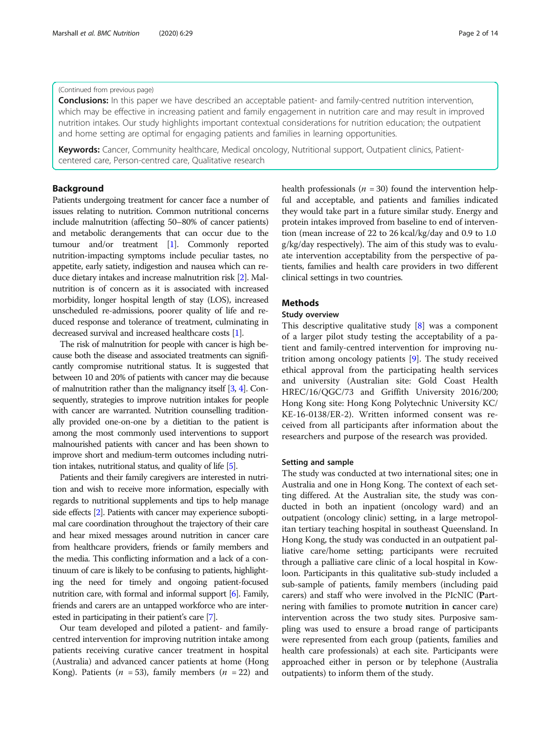#### (Continued from previous page)

**Conclusions:** In this paper we have described an acceptable patient- and family-centred nutrition intervention, which may be effective in increasing patient and family engagement in nutrition care and may result in improved nutrition intakes. Our study highlights important contextual considerations for nutrition education; the outpatient and home setting are optimal for engaging patients and families in learning opportunities.

Keywords: Cancer, Community healthcare, Medical oncology, Nutritional support, Outpatient clinics, Patientcentered care, Person-centred care, Qualitative research

#### Background

Patients undergoing treatment for cancer face a number of issues relating to nutrition. Common nutritional concerns include malnutrition (affecting 50–80% of cancer patients) and metabolic derangements that can occur due to the tumour and/or treatment [[1](#page-12-0)]. Commonly reported nutrition-impacting symptoms include peculiar tastes, no appetite, early satiety, indigestion and nausea which can reduce dietary intakes and increase malnutrition risk [\[2](#page-12-0)]. Malnutrition is of concern as it is associated with increased morbidity, longer hospital length of stay (LOS), increased unscheduled re-admissions, poorer quality of life and reduced response and tolerance of treatment, culminating in decreased survival and increased healthcare costs [\[1\]](#page-12-0).

The risk of malnutrition for people with cancer is high because both the disease and associated treatments can significantly compromise nutritional status. It is suggested that between 10 and 20% of patients with cancer may die because of malnutrition rather than the malignancy itself [\[3,](#page-12-0) [4\]](#page-12-0). Consequently, strategies to improve nutrition intakes for people with cancer are warranted. Nutrition counselling traditionally provided one-on-one by a dietitian to the patient is among the most commonly used interventions to support malnourished patients with cancer and has been shown to improve short and medium-term outcomes including nutrition intakes, nutritional status, and quality of life [[5](#page-12-0)].

Patients and their family caregivers are interested in nutrition and wish to receive more information, especially with regards to nutritional supplements and tips to help manage side effects [\[2](#page-12-0)]. Patients with cancer may experience suboptimal care coordination throughout the trajectory of their care and hear mixed messages around nutrition in cancer care from healthcare providers, friends or family members and the media. This conflicting information and a lack of a continuum of care is likely to be confusing to patients, highlighting the need for timely and ongoing patient-focused nutrition care, with formal and informal support [\[6](#page-12-0)]. Family, friends and carers are an untapped workforce who are interested in participating in their patient's care [[7](#page-12-0)].

Our team developed and piloted a patient- and familycentred intervention for improving nutrition intake among patients receiving curative cancer treatment in hospital (Australia) and advanced cancer patients at home (Hong Kong). Patients ( $n = 53$ ), family members ( $n = 22$ ) and health professionals ( $n = 30$ ) found the intervention helpful and acceptable, and patients and families indicated they would take part in a future similar study. Energy and protein intakes improved from baseline to end of intervention (mean increase of 22 to 26 kcal/kg/day and 0.9 to 1.0 g/kg/day respectively). The aim of this study was to evaluate intervention acceptability from the perspective of patients, families and health care providers in two different clinical settings in two countries.

#### Methods

#### Study overview

This descriptive qualitative study  $[8]$  $[8]$  $[8]$  was a component of a larger pilot study testing the acceptability of a patient and family-centred intervention for improving nutrition among oncology patients [\[9](#page-12-0)]. The study received ethical approval from the participating health services and university (Australian site: Gold Coast Health HREC/16/QGC/73 and Griffith University 2016/200; Hong Kong site: Hong Kong Polytechnic University KC/ KE-16-0138/ER-2). Written informed consent was received from all participants after information about the researchers and purpose of the research was provided.

#### Setting and sample

The study was conducted at two international sites; one in Australia and one in Hong Kong. The context of each setting differed. At the Australian site, the study was conducted in both an inpatient (oncology ward) and an outpatient (oncology clinic) setting, in a large metropolitan tertiary teaching hospital in southeast Queensland. In Hong Kong, the study was conducted in an outpatient palliative care/home setting; participants were recruited through a palliative care clinic of a local hospital in Kowloon. Participants in this qualitative sub-study included a sub-sample of patients, family members (including paid carers) and staff who were involved in the PIcNIC (Partnering with families to promote nutrition in cancer care) intervention across the two study sites. Purposive sampling was used to ensure a broad range of participants were represented from each group (patients, families and health care professionals) at each site. Participants were approached either in person or by telephone (Australia outpatients) to inform them of the study.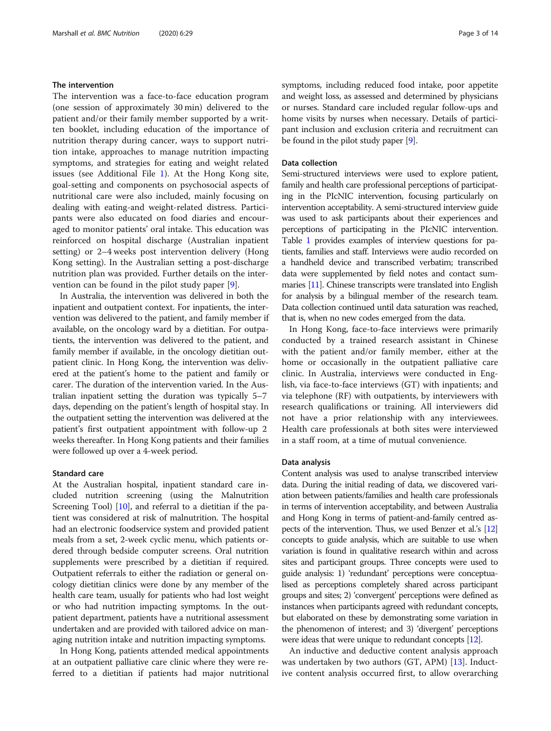#### The intervention

The intervention was a face-to-face education program (one session of approximately 30 min) delivered to the patient and/or their family member supported by a written booklet, including education of the importance of nutrition therapy during cancer, ways to support nutrition intake, approaches to manage nutrition impacting symptoms, and strategies for eating and weight related issues (see Additional File [1\)](#page-11-0). At the Hong Kong site, goal-setting and components on psychosocial aspects of nutritional care were also included, mainly focusing on dealing with eating-and weight-related distress. Participants were also educated on food diaries and encouraged to monitor patients' oral intake. This education was reinforced on hospital discharge (Australian inpatient setting) or 2–4 weeks post intervention delivery (Hong Kong setting). In the Australian setting a post-discharge nutrition plan was provided. Further details on the intervention can be found in the pilot study paper [[9\]](#page-12-0).

In Australia, the intervention was delivered in both the inpatient and outpatient context. For inpatients, the intervention was delivered to the patient, and family member if available, on the oncology ward by a dietitian. For outpatients, the intervention was delivered to the patient, and family member if available, in the oncology dietitian outpatient clinic. In Hong Kong, the intervention was delivered at the patient's home to the patient and family or carer. The duration of the intervention varied. In the Australian inpatient setting the duration was typically 5–7 days, depending on the patient's length of hospital stay. In the outpatient setting the intervention was delivered at the patient's first outpatient appointment with follow-up 2 weeks thereafter. In Hong Kong patients and their families were followed up over a 4-week period.

#### Standard care

At the Australian hospital, inpatient standard care included nutrition screening (using the Malnutrition Screening Tool) [\[10\]](#page-12-0), and referral to a dietitian if the patient was considered at risk of malnutrition. The hospital had an electronic foodservice system and provided patient meals from a set, 2-week cyclic menu, which patients ordered through bedside computer screens. Oral nutrition supplements were prescribed by a dietitian if required. Outpatient referrals to either the radiation or general oncology dietitian clinics were done by any member of the health care team, usually for patients who had lost weight or who had nutrition impacting symptoms. In the outpatient department, patients have a nutritional assessment undertaken and are provided with tailored advice on managing nutrition intake and nutrition impacting symptoms.

In Hong Kong, patients attended medical appointments at an outpatient palliative care clinic where they were referred to a dietitian if patients had major nutritional symptoms, including reduced food intake, poor appetite and weight loss, as assessed and determined by physicians or nurses. Standard care included regular follow-ups and home visits by nurses when necessary. Details of participant inclusion and exclusion criteria and recruitment can be found in the pilot study paper [[9](#page-12-0)].

#### Data collection

Semi-structured interviews were used to explore patient, family and health care professional perceptions of participating in the PIcNIC intervention, focusing particularly on intervention acceptability. A semi-structured interview guide was used to ask participants about their experiences and perceptions of participating in the PIcNIC intervention. Table [1](#page-3-0) provides examples of interview questions for patients, families and staff. Interviews were audio recorded on a handheld device and transcribed verbatim; transcribed data were supplemented by field notes and contact summaries [\[11](#page-12-0)]. Chinese transcripts were translated into English for analysis by a bilingual member of the research team. Data collection continued until data saturation was reached, that is, when no new codes emerged from the data.

In Hong Kong, face-to-face interviews were primarily conducted by a trained research assistant in Chinese with the patient and/or family member, either at the home or occasionally in the outpatient palliative care clinic. In Australia, interviews were conducted in English, via face-to-face interviews (GT) with inpatients; and via telephone (RF) with outpatients, by interviewers with research qualifications or training. All interviewers did not have a prior relationship with any interviewees. Health care professionals at both sites were interviewed in a staff room, at a time of mutual convenience.

#### Data analysis

Content analysis was used to analyse transcribed interview data. During the initial reading of data, we discovered variation between patients/families and health care professionals in terms of intervention acceptability, and between Australia and Hong Kong in terms of patient-and-family centred aspects of the intervention. Thus, we used Benzer et al.'s [\[12](#page-12-0)] concepts to guide analysis, which are suitable to use when variation is found in qualitative research within and across sites and participant groups. Three concepts were used to guide analysis: 1) 'redundant' perceptions were conceptualised as perceptions completely shared across participant groups and sites; 2) 'convergent' perceptions were defined as instances when participants agreed with redundant concepts, but elaborated on these by demonstrating some variation in the phenomenon of interest; and 3) 'divergent' perceptions were ideas that were unique to redundant concepts [[12\]](#page-12-0).

An inductive and deductive content analysis approach was undertaken by two authors (GT, APM) [[13\]](#page-12-0). Inductive content analysis occurred first, to allow overarching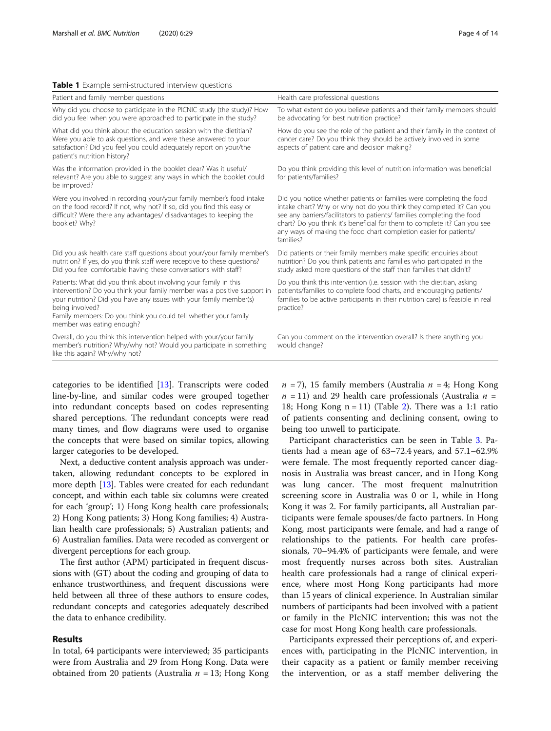#### <span id="page-3-0"></span>Table 1 Example semi-structured interview questions

| Patient and family member questions                                                                                                                                                                                                                                                                                                  | Health care professional questions                                                                                                                                                                                                                                                                                                                                                    |
|--------------------------------------------------------------------------------------------------------------------------------------------------------------------------------------------------------------------------------------------------------------------------------------------------------------------------------------|---------------------------------------------------------------------------------------------------------------------------------------------------------------------------------------------------------------------------------------------------------------------------------------------------------------------------------------------------------------------------------------|
| Why did you choose to participate in the PICNIC study (the study)? How<br>did you feel when you were approached to participate in the study?                                                                                                                                                                                         | To what extent do you believe patients and their family members should<br>be advocating for best nutrition practice?                                                                                                                                                                                                                                                                  |
| What did you think about the education session with the dietitian?<br>Were you able to ask questions, and were these answered to your<br>satisfaction? Did you feel you could adequately report on your/the<br>patient's nutrition history?                                                                                          | How do you see the role of the patient and their family in the context of<br>cancer care? Do you think they should be actively involved in some<br>aspects of patient care and decision making?                                                                                                                                                                                       |
| Was the information provided in the booklet clear? Was it useful/<br>relevant? Are you able to suggest any ways in which the booklet could<br>be improved?                                                                                                                                                                           | Do you think providing this level of nutrition information was beneficial<br>for patients/families?                                                                                                                                                                                                                                                                                   |
| Were you involved in recording your/your family member's food intake<br>on the food record? If not, why not? If so, did you find this easy or<br>difficult? Were there any advantages/ disadvantages to keeping the<br>booklet? Why?                                                                                                 | Did you notice whether patients or families were completing the food<br>intake chart? Why or why not do you think they completed it? Can you<br>see any barriers/facilitators to patients/ families completing the food<br>chart? Do you think it's beneficial for them to complete it? Can you see<br>any ways of making the food chart completion easier for patients/<br>families? |
| Did you ask health care staff questions about your/your family member's<br>nutrition? If yes, do you think staff were receptive to these questions?<br>Did you feel comfortable having these conversations with staff?                                                                                                               | Did patients or their family members make specific enquiries about<br>nutrition? Do you think patients and families who participated in the<br>study asked more questions of the staff than families that didn't?                                                                                                                                                                     |
| Patients: What did you think about involving your family in this<br>intervention? Do you think your family member was a positive support in<br>your nutrition? Did you have any issues with your family member(s)<br>being involved?<br>Family members: Do you think you could tell whether your family<br>member was eating enough? | Do you think this intervention (i.e. session with the dietitian, asking<br>patients/families to complete food charts, and encouraging patients/<br>families to be active participants in their nutrition care) is feasible in real<br>practice?                                                                                                                                       |
| Overall, do you think this intervention helped with your/your family<br>member's nutrition? Why/why not? Would you participate in something<br>like this again? Why/why not?                                                                                                                                                         | Can you comment on the intervention overall? Is there anything you<br>would change?                                                                                                                                                                                                                                                                                                   |

categories to be identified [[13\]](#page-12-0). Transcripts were coded line-by-line, and similar codes were grouped together into redundant concepts based on codes representing shared perceptions. The redundant concepts were read many times, and flow diagrams were used to organise the concepts that were based on similar topics, allowing larger categories to be developed.

Next, a deductive content analysis approach was undertaken, allowing redundant concepts to be explored in more depth [\[13](#page-12-0)]. Tables were created for each redundant concept, and within each table six columns were created for each 'group'; 1) Hong Kong health care professionals; 2) Hong Kong patients; 3) Hong Kong families; 4) Australian health care professionals; 5) Australian patients; and 6) Australian families. Data were recoded as convergent or divergent perceptions for each group.

The first author (APM) participated in frequent discussions with (GT) about the coding and grouping of data to enhance trustworthiness, and frequent discussions were held between all three of these authors to ensure codes, redundant concepts and categories adequately described the data to enhance credibility.

#### Results

In total, 64 participants were interviewed; 35 participants were from Australia and 29 from Hong Kong. Data were obtained from 20 patients (Australia  $n = 13$ ; Hong Kong  $n = 7$ , 15 family members (Australia  $n = 4$ ; Hong Kong  $n = 11$ ) and 29 health care professionals (Australia  $n =$ 18; Hong Kong  $n = 11$ ) (Table [2](#page-4-0)). There was a 1:1 ratio of patients consenting and declining consent, owing to being too unwell to participate.

Participant characteristics can be seen in Table [3](#page-5-0). Patients had a mean age of 63–72.4 years, and 57.1–62.9% were female. The most frequently reported cancer diagnosis in Australia was breast cancer, and in Hong Kong was lung cancer. The most frequent malnutrition screening score in Australia was 0 or 1, while in Hong Kong it was 2. For family participants, all Australian participants were female spouses/de facto partners. In Hong Kong, most participants were female, and had a range of relationships to the patients. For health care professionals, 70–94.4% of participants were female, and were most frequently nurses across both sites. Australian health care professionals had a range of clinical experience, where most Hong Kong participants had more than 15 years of clinical experience. In Australian similar numbers of participants had been involved with a patient or family in the PIcNIC intervention; this was not the case for most Hong Kong health care professionals.

Participants expressed their perceptions of, and experiences with, participating in the PIcNIC intervention, in their capacity as a patient or family member receiving the intervention, or as a staff member delivering the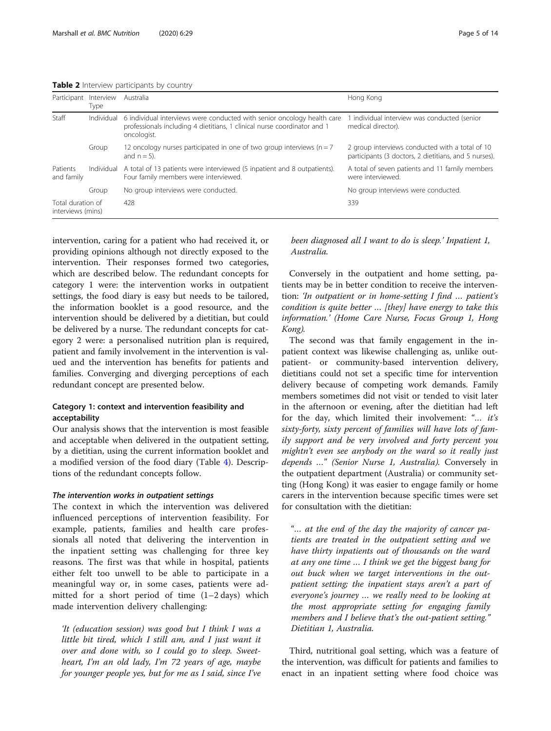<span id="page-4-0"></span>

| Participant Interview                  | Type       | Australia                                                                                                                                                          | Hong Kong                                                                                                |  |
|----------------------------------------|------------|--------------------------------------------------------------------------------------------------------------------------------------------------------------------|----------------------------------------------------------------------------------------------------------|--|
| Staff                                  | Individual | 6 individual interviews were conducted with senior oncology health care<br>professionals including 4 dietitians, 1 clinical nurse coordinator and 1<br>oncologist. | individual interview was conducted (senior<br>medical director).                                         |  |
|                                        | Group      | 12 oncology nurses participated in one of two group interviews ( $n = 7$<br>and $n = 5$ ).                                                                         | 2 group interviews conducted with a total of 10<br>participants (3 doctors, 2 dietitians, and 5 nurses). |  |
| Patients<br>and family                 | Individual | A total of 13 patients were interviewed (5 inpatient and 8 outpatients).<br>Four family members were interviewed.                                                  | A total of seven patients and 11 family members<br>were interviewed.                                     |  |
|                                        | Group      | No group interviews were conducted.                                                                                                                                | No group interviews were conducted.                                                                      |  |
| Total duration of<br>interviews (mins) |            | 428                                                                                                                                                                | 339                                                                                                      |  |

intervention, caring for a patient who had received it, or providing opinions although not directly exposed to the intervention. Their responses formed two categories, which are described below. The redundant concepts for category 1 were: the intervention works in outpatient settings, the food diary is easy but needs to be tailored, the information booklet is a good resource, and the intervention should be delivered by a dietitian, but could be delivered by a nurse. The redundant concepts for category 2 were: a personalised nutrition plan is required, patient and family involvement in the intervention is valued and the intervention has benefits for patients and families. Converging and diverging perceptions of each redundant concept are presented below.

#### Category 1: context and intervention feasibility and acceptability

Our analysis shows that the intervention is most feasible and acceptable when delivered in the outpatient setting, by a dietitian, using the current information booklet and a modified version of the food diary (Table [4\)](#page-6-0). Descriptions of the redundant concepts follow.

#### The intervention works in outpatient settings

The context in which the intervention was delivered influenced perceptions of intervention feasibility. For example, patients, families and health care professionals all noted that delivering the intervention in the inpatient setting was challenging for three key reasons. The first was that while in hospital, patients either felt too unwell to be able to participate in a meaningful way or, in some cases, patients were admitted for a short period of time  $(1-2 \text{ days})$  which made intervention delivery challenging:

'It (education session) was good but I think I was a little bit tired, which I still am, and I just want it over and done with, so I could go to sleep. Sweetheart, I'm an old lady, I'm 72 years of age, maybe for younger people yes, but for me as I said, since I've been diagnosed all I want to do is sleep.' Inpatient 1, Australia.

Conversely in the outpatient and home setting, patients may be in better condition to receive the intervention: 'In outpatient or in home-setting I find … patient's condition is quite better … [they] have energy to take this information.' (Home Care Nurse, Focus Group 1, Hong Kong).

The second was that family engagement in the inpatient context was likewise challenging as, unlike outpatient- or community-based intervention delivery, dietitians could not set a specific time for intervention delivery because of competing work demands. Family members sometimes did not visit or tended to visit later in the afternoon or evening, after the dietitian had left for the day, which limited their involvement: "… it's sixty-forty, sixty percent of families will have lots of family support and be very involved and forty percent you mightn't even see anybody on the ward so it really just depends …" (Senior Nurse 1, Australia). Conversely in the outpatient department (Australia) or community setting (Hong Kong) it was easier to engage family or home carers in the intervention because specific times were set for consultation with the dietitian:

"… at the end of the day the majority of cancer patients are treated in the outpatient setting and we have thirty inpatients out of thousands on the ward at any one time … I think we get the biggest bang for out buck when we target interventions in the outpatient setting; the inpatient stays aren't a part of everyone's journey … we really need to be looking at the most appropriate setting for engaging family members and I believe that's the out-patient setting." Dietitian 1, Australia.

Third, nutritional goal setting, which was a feature of the intervention, was difficult for patients and families to enact in an inpatient setting where food choice was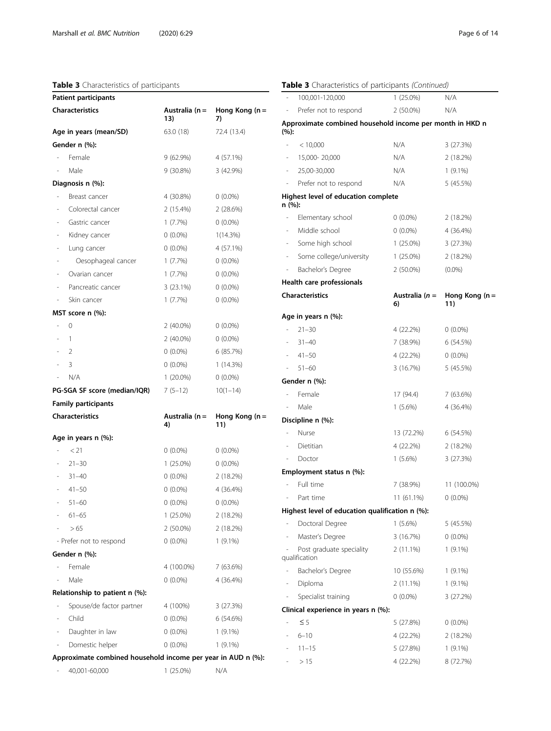#### <span id="page-5-0"></span>Table 3 Characteristics of participants

| <b>Patient participants</b>  |                                                              |                       |                       |  |  |  |
|------------------------------|--------------------------------------------------------------|-----------------------|-----------------------|--|--|--|
|                              | <b>Characteristics</b>                                       | Australia (n =<br>13) | Hong Kong (n =<br>7)  |  |  |  |
|                              | Age in years (mean/SD)                                       | 63.0 (18)             | 72.4 (13.4)           |  |  |  |
|                              | Gender n (%):                                                |                       |                       |  |  |  |
|                              | Female                                                       | $9(62.9\%)$           | 4 (57.1%)             |  |  |  |
| $\qquad \qquad -$            | Male                                                         | 9 (30.8%)             | 3 (42.9%)             |  |  |  |
|                              | Diagnosis n (%):                                             |                       |                       |  |  |  |
|                              | Breast cancer                                                | 4 (30.8%)             | $0(0.0\%)$            |  |  |  |
|                              | Colorectal cancer                                            | 2 (15.4%)             | 2(28.6%)              |  |  |  |
|                              | Gastric cancer                                               | $1(7.7\%)$            | $0(0.0\%)$            |  |  |  |
| $\overline{a}$               | Kidney cancer                                                | $0(0.0\%)$            | 1(14.3%)              |  |  |  |
| $\overline{\phantom{a}}$     | Lung cancer                                                  | $0(0.0\%)$            | 4 (57.1%)             |  |  |  |
|                              | Oesophageal cancer                                           | $1(7.7\%)$            | $0(0.0\%)$            |  |  |  |
|                              | Ovarian cancer                                               | $1(7.7\%)$            | $0(0.0\%)$            |  |  |  |
| $\qquad \qquad \blacksquare$ | Pancreatic cancer                                            | 3(23.1%)              | $0(0.0\%)$            |  |  |  |
|                              | Skin cancer                                                  | $1(7.7\%)$            | $0(0.0\%)$            |  |  |  |
|                              | MST score n (%):                                             |                       |                       |  |  |  |
|                              | 0                                                            | 2 (40.0%)             | $0(0.0\%)$            |  |  |  |
|                              | 1                                                            | $2(40.0\%)$           | $0(0.0\%)$            |  |  |  |
|                              | 2                                                            | $0(0.0\%)$            | 6 (85.7%)             |  |  |  |
|                              | 3                                                            | $0(0.0\%)$            | 1 (14.3%)             |  |  |  |
|                              | N/A                                                          | $1(20.0\%)$           | $0(0.0\%)$            |  |  |  |
|                              | PG-SGA SF score (median/IQR)                                 | $7(5-12)$             | $10(1-14)$            |  |  |  |
|                              | <b>Family participants</b>                                   |                       |                       |  |  |  |
|                              | <b>Characteristics</b>                                       | Australia (n =<br>4)  | Hong Kong (n =<br>11) |  |  |  |
|                              | Age in years n (%):                                          |                       |                       |  |  |  |
|                              | < 21                                                         | $0(0.0\%)$            | $0(0.0\%)$            |  |  |  |
|                              | $21 - 30$                                                    | $1(25.0\%)$           | $0(0.0\%)$            |  |  |  |
| $\overline{a}$               | $31 - 40$                                                    | $0(0.0\%)$            | 2 (18.2%)             |  |  |  |
| $\frac{1}{2}$                | $41 - 50$                                                    | $0(0.0\%)$            | 4 (36.4%)             |  |  |  |
|                              | 51-60                                                        | $0(0.0\%)$            | $0(0.0\%)$            |  |  |  |
|                              | $61 - 65$                                                    | 1 (25.0%)             | 2 (18.2%)             |  |  |  |
|                              | > 65                                                         | 2 (50.0%)             | 2 (18.2%)             |  |  |  |
|                              | - Prefer not to respond                                      | $0(0.0\%)$            | $1(9.1\%)$            |  |  |  |
|                              | Gender n (%):                                                |                       |                       |  |  |  |
|                              | Female                                                       | 4 (100.0%)            | 7 (63.6%)             |  |  |  |
|                              | Male                                                         | $0(0.0\%)$            | 4 (36.4%)             |  |  |  |
|                              | Relationship to patient n (%):                               |                       |                       |  |  |  |
|                              | Spouse/de factor partner                                     | 4 (100%)              | 3 (27.3%)             |  |  |  |
|                              | Child                                                        | $0(0.0\%)$            | 6 (54.6%)             |  |  |  |
|                              | Daughter in law                                              | $0(0.0\%)$            | $1(9.1\%)$            |  |  |  |
|                              | Domestic helper                                              | $0(0.0\%)$            | $1(9.1\%)$            |  |  |  |
|                              | Approximate combined household income per year in AUD n (%): |                       |                       |  |  |  |
|                              | 40,001-60,000                                                | $1(25.0\%)$           | N/A                   |  |  |  |

|                          | <b>Table 3</b> Characteristics of participants (Continued) |                      |                         |
|--------------------------|------------------------------------------------------------|----------------------|-------------------------|
|                          | 100,001-120,000                                            | $1(25.0\%)$          | N/A                     |
| $\overline{\phantom{m}}$ | Prefer not to respond                                      | $2(50.0\%)$          | N/A                     |
| (%):                     | Approximate combined household income per month in HKD n   |                      |                         |
|                          | < 10,000                                                   | N/A                  | 3(27.3%)                |
|                          | 15,000-20,000                                              | N/A                  | 2(18.2%)                |
|                          | 25,00-30,000                                               | N/A                  | $1(9.1\%)$              |
|                          | Prefer not to respond                                      | N/A                  | 5 (45.5%)               |
| n (%):                   | Highest level of education complete                        |                      |                         |
|                          | Elementary school                                          | $0(0.0\%)$           | 2(18.2%)                |
|                          | Middle school                                              | $0(0.0\%)$           | 4 (36.4%)               |
| $\overline{a}$           | Some high school                                           | $1(25.0\%)$          | 3(27.3%)                |
|                          | Some college/university                                    | 1 (25.0%)            | 2(18.2%)                |
|                          | Bachelor's Degree                                          | $2(50.0\%)$          | $(0.0\%)$               |
|                          | Health care professionals                                  |                      |                         |
|                          | <b>Characteristics</b>                                     | Australia (n =<br>6) | Hong Kong $(n =$<br>11) |
|                          | Age in years n (%):                                        |                      |                         |
| ÷                        | $21 - 30$                                                  | 4 (22.2%)            | $0(0.0\%)$              |
|                          | $31 - 40$                                                  | 7 (38.9%)            | 6(54.5%)                |
|                          | $41 - 50$                                                  | 4 (22.2%)            | $0(0.0\%)$              |
|                          | $51 - 60$                                                  | 3 (16.7%)            | 5 (45.5%)               |
|                          | Gender n (%):                                              |                      |                         |
|                          | Female                                                     | 17 (94.4)            | 7 (63.6%)               |
|                          | Male                                                       | $1(5.6\%)$           | 4 (36.4%)               |
|                          | Discipline n (%):                                          |                      |                         |
|                          | Nurse                                                      | 13 (72.2%)           | 6 (54.5%)               |
|                          | Dietitian                                                  | 4 (22.2%)            | 2(18.2%)                |
|                          | Doctor                                                     | $1(5.6\%)$           | 3(27.3%)                |
|                          | Employment status n (%):                                   |                      |                         |
| ÷.                       | Full time                                                  | 7 (38.9%)            | 11 (100.0%)             |
|                          | Part time                                                  | 11 (61.1%)           | $0(0.0\%)$              |
|                          | Highest level of education qualification n (%):            |                      |                         |
|                          | Doctoral Degree                                            | $1(5.6\%)$           | 5 (45.5%)               |
|                          | Master's Degree                                            | 3(16.7%)             | $0(0.0\%)$              |
|                          | Post graduate speciality<br>qualification                  | $2(11.1\%)$          | $1(9.1\%)$              |
|                          | Bachelor's Degree                                          | 10 (55.6%)           | $1(9.1\%)$              |
| $\overline{\phantom{0}}$ | Diploma                                                    | $2(11.1\%)$          | $1(9.1\%)$              |
| $\overline{\phantom{0}}$ | Specialist training                                        | $0(0.0\%)$           | 3(27.2%)                |
|                          | Clinical experience in years n (%):                        |                      |                         |
|                          | $\leq$ 5                                                   | 5 (27.8%)            | $0(0.0\%)$              |
|                          | $6 - 10$                                                   | 4 (22.2%)            | 2(18.2%)                |
|                          | $11 - 15$                                                  | 5 (27.8%)            | $1(9.1\%)$              |
|                          | >15                                                        | 4 (22.2%)            | 8 (72.7%)               |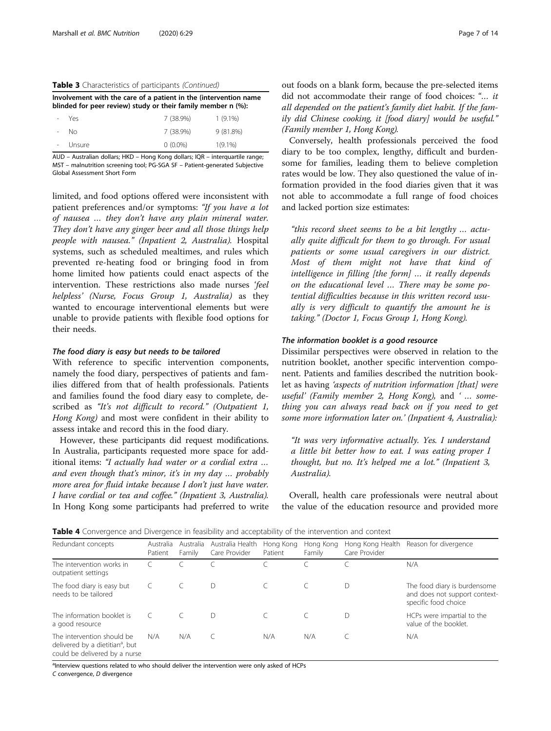<span id="page-6-0"></span>Table 3 Characteristics of participants (Continued)

| Involvement with the care of a patient in the (intervention name |
|------------------------------------------------------------------|
| blinded for peer review) study or their family member n (%):     |

| $\overline{\phantom{a}}$ | Yes    | 7 (38.9%)  | $1(9.1\%)$ |
|--------------------------|--------|------------|------------|
|                          | - No   | 7 (38.9%)  | 9(81.8%)   |
|                          | Unsure | $0(0.0\%)$ | $1(9.1\%)$ |

AUD – Australian dollars; HKD – Hong Kong dollars; IQR – interquartile range; MST – malnutrition screening tool; PG-SGA SF – Patient-generated Subjective Global Assessment Short Form

limited, and food options offered were inconsistent with patient preferences and/or symptoms: "If you have a lot of nausea … they don't have any plain mineral water. They don't have any ginger beer and all those things help people with nausea." (Inpatient 2, Australia). Hospital systems, such as scheduled mealtimes, and rules which prevented re-heating food or bringing food in from home limited how patients could enact aspects of the intervention. These restrictions also made nurses 'feel helpless' (Nurse, Focus Group 1, Australia) as they wanted to encourage interventional elements but were unable to provide patients with flexible food options for their needs.

#### The food diary is easy but needs to be tailored

With reference to specific intervention components, namely the food diary, perspectives of patients and families differed from that of health professionals. Patients and families found the food diary easy to complete, described as "It's not difficult to record." (Outpatient 1, Hong Kong) and most were confident in their ability to assess intake and record this in the food diary.

However, these participants did request modifications. In Australia, participants requested more space for additional items: "I actually had water or a cordial extra … and even though that's minor, it's in my day … probably more area for fluid intake because I don't just have water. I have cordial or tea and coffee." (Inpatient 3, Australia). In Hong Kong some participants had preferred to write

out foods on a blank form, because the pre-selected items did not accommodate their range of food choices: "… it all depended on the patient's family diet habit. If the family did Chinese cooking, it [food diary] would be useful." (Family member 1, Hong Kong).

Conversely, health professionals perceived the food diary to be too complex, lengthy, difficult and burdensome for families, leading them to believe completion rates would be low. They also questioned the value of information provided in the food diaries given that it was not able to accommodate a full range of food choices and lacked portion size estimates:

"this record sheet seems to be a bit lengthy … actually quite difficult for them to go through. For usual patients or some usual caregivers in our district. Most of them might not have that kind of intelligence in filling [the form] … it really depends on the educational level … There may be some potential difficulties because in this written record usually is very difficult to quantify the amount he is taking." (Doctor 1, Focus Group 1, Hong Kong).

#### The information booklet is a good resource

Dissimilar perspectives were observed in relation to the nutrition booklet, another specific intervention component. Patients and families described the nutrition booklet as having 'aspects of nutrition information [that] were useful' (Family member 2, Hong Kong), and ' … something you can always read back on if you need to get some more information later on.' (Inpatient 4, Australia):

"It was very informative actually. Yes. I understand a little bit better how to eat. I was eating proper I thought, but no. It's helped me a lot." (Inpatient 3, Australia).

Overall, health care professionals were neutral about the value of the education resource and provided more

**Table 4** Convergence and Divergence in feasibility and acceptability of the intervention and context

| Redundant concepts                                                                                         | Australia<br>Patient | Australia<br>Family | Australia Health<br>Care Provider | Hong Kong<br>Patient | Hong Kong<br>Family | Care Provider | Hong Kong Health Reason for divergence                                                |
|------------------------------------------------------------------------------------------------------------|----------------------|---------------------|-----------------------------------|----------------------|---------------------|---------------|---------------------------------------------------------------------------------------|
| The intervention works in<br>outpatient settings                                                           |                      |                     |                                   |                      |                     |               | N/A                                                                                   |
| The food diary is easy but<br>needs to be tailored                                                         |                      |                     | D                                 |                      |                     |               | The food diary is burdensome<br>and does not support context-<br>specific food choice |
| The information booklet is<br>a good resource                                                              |                      |                     | D                                 |                      |                     |               | HCPs were impartial to the<br>value of the booklet.                                   |
| The intervention should be<br>delivered by a dietitian <sup>a</sup> , but<br>could be delivered by a nurse | N/A                  | N/A                 |                                   | N/A                  | N/A                 |               | N/A                                                                                   |

<sup>a</sup>Interview questions related to who should deliver the intervention were only asked of HCPs

C convergence, D divergence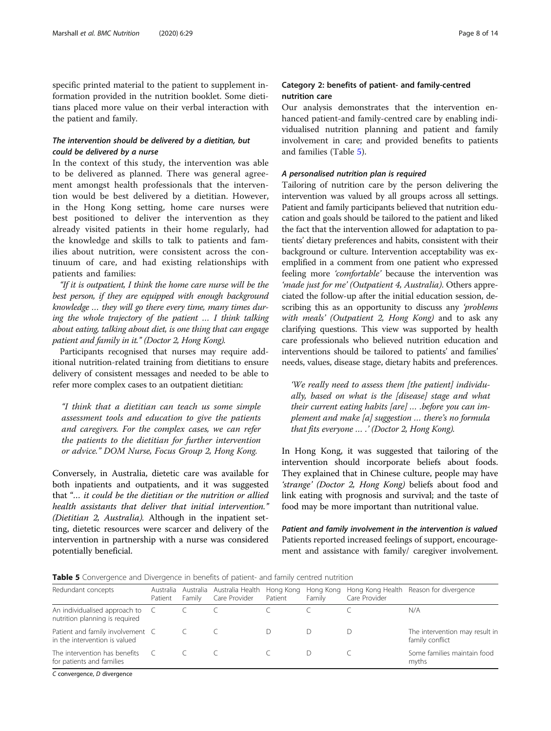specific printed material to the patient to supplement information provided in the nutrition booklet. Some dietitians placed more value on their verbal interaction with the patient and family.

#### The intervention should be delivered by a dietitian, but could be delivered by a nurse

In the context of this study, the intervention was able to be delivered as planned. There was general agreement amongst health professionals that the intervention would be best delivered by a dietitian. However, in the Hong Kong setting, home care nurses were best positioned to deliver the intervention as they already visited patients in their home regularly, had the knowledge and skills to talk to patients and families about nutrition, were consistent across the continuum of care, and had existing relationships with patients and families:

"If it is outpatient, I think the home care nurse will be the best person, if they are equipped with enough background knowledge … they will go there every time, many times during the whole trajectory of the patient … I think talking about eating, talking about diet, is one thing that can engage patient and family in it." (Doctor 2, Hong Kong).

Participants recognised that nurses may require additional nutrition-related training from dietitians to ensure delivery of consistent messages and needed to be able to refer more complex cases to an outpatient dietitian:

"I think that a dietitian can teach us some simple assessment tools and education to give the patients and caregivers. For the complex cases, we can refer the patients to the dietitian for further intervention or advice." DOM Nurse, Focus Group 2, Hong Kong.

Conversely, in Australia, dietetic care was available for both inpatients and outpatients, and it was suggested that "… it could be the dietitian or the nutrition or allied health assistants that deliver that initial intervention." (Dietitian 2, Australia). Although in the inpatient setting, dietetic resources were scarcer and delivery of the intervention in partnership with a nurse was considered potentially beneficial.

#### Category 2: benefits of patient- and family-centred nutrition care

Our analysis demonstrates that the intervention enhanced patient-and family-centred care by enabling individualised nutrition planning and patient and family involvement in care; and provided benefits to patients and families (Table 5).

#### A personalised nutrition plan is required

Tailoring of nutrition care by the person delivering the intervention was valued by all groups across all settings. Patient and family participants believed that nutrition education and goals should be tailored to the patient and liked the fact that the intervention allowed for adaptation to patients' dietary preferences and habits, consistent with their background or culture. Intervention acceptability was exemplified in a comment from one patient who expressed feeling more 'comfortable' because the intervention was 'made just for me' (Outpatient 4, Australia). Others appreciated the follow-up after the initial education session, describing this as an opportunity to discuss any 'problems with meals' (Outpatient 2, Hong Kong) and to ask any clarifying questions. This view was supported by health care professionals who believed nutrition education and interventions should be tailored to patients' and families' needs, values, disease stage, dietary habits and preferences.

'We really need to assess them [the patient] individually, based on what is the [disease] stage and what their current eating habits [are] … .before you can implement and make [a] suggestion … there's no formula that fits everyone … .' (Doctor 2, Hong Kong).

In Hong Kong, it was suggested that tailoring of the intervention should incorporate beliefs about foods. They explained that in Chinese culture, people may have 'strange' (Doctor 2, Hong Kong) beliefs about food and link eating with prognosis and survival; and the taste of food may be more important than nutritional value.

Patient and family involvement in the intervention is valued Patients reported increased feelings of support, encouragement and assistance with family/ caregiver involvement.

**Table 5** Convergence and Divergence in benefits of patient- and family centred nutrition

| Redundant concepts                                                | Australia<br>Patient | Family | Care Provider | Patient | Family    | Care Provider | Australia Australia Health Hong Kong Hong Kong Hong Kong Health Reason for divergence |
|-------------------------------------------------------------------|----------------------|--------|---------------|---------|-----------|---------------|---------------------------------------------------------------------------------------|
| An individualised approach to C<br>nutrition planning is required |                      |        |               |         |           |               | N/A                                                                                   |
| Patient and family involvement C<br>in the intervention is valued |                      |        |               |         | $\vert$ ) |               | The intervention may result in<br>family conflict                                     |
| The intervention has benefits<br>for patients and families        |                      |        |               |         |           |               | Some families maintain food<br>myths                                                  |
|                                                                   |                      |        |               |         |           |               |                                                                                       |

C convergence, D divergence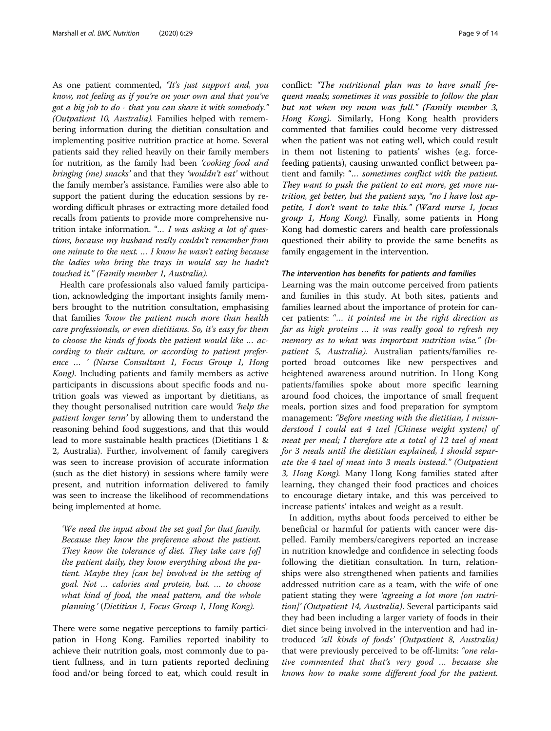As one patient commented, "It's just support and, you know, not feeling as if you're on your own and that you've got a big job to do - that you can share it with somebody." (Outpatient 10, Australia). Families helped with remembering information during the dietitian consultation and implementing positive nutrition practice at home. Several patients said they relied heavily on their family members for nutrition, as the family had been *'cooking food and* bringing (me) snacks' and that they 'wouldn't eat' without the family member's assistance. Families were also able to support the patient during the education sessions by rewording difficult phrases or extracting more detailed food recalls from patients to provide more comprehensive nutrition intake information. "… I was asking a lot of questions, because my husband really couldn't remember from one minute to the next. … I know he wasn't eating because the ladies who bring the trays in would say he hadn't touched it." (Family member 1, Australia).

Health care professionals also valued family participation, acknowledging the important insights family members brought to the nutrition consultation, emphasising that families 'know the patient much more than health care professionals, or even dietitians. So, it's easy for them to choose the kinds of foods the patient would like … according to their culture, or according to patient preference … ' (Nurse Consultant 1, Focus Group 1, Hong Kong). Including patients and family members as active participants in discussions about specific foods and nutrition goals was viewed as important by dietitians, as they thought personalised nutrition care would 'help the patient longer term' by allowing them to understand the reasoning behind food suggestions, and that this would lead to more sustainable health practices (Dietitians 1 & 2, Australia). Further, involvement of family caregivers was seen to increase provision of accurate information (such as the diet history) in sessions where family were present, and nutrition information delivered to family was seen to increase the likelihood of recommendations being implemented at home.

'We need the input about the set goal for that family. Because they know the preference about the patient. They know the tolerance of diet. They take care [of] the patient daily, they know everything about the patient. Maybe they [can be] involved in the setting of goal. Not … calories and protein, but. … to choose what kind of food, the meal pattern, and the whole planning.' (Dietitian 1, Focus Group 1, Hong Kong).

There were some negative perceptions to family participation in Hong Kong. Families reported inability to achieve their nutrition goals, most commonly due to patient fullness, and in turn patients reported declining food and/or being forced to eat, which could result in conflict: "The nutritional plan was to have small frequent meals; sometimes it was possible to follow the plan but not when my mum was full." (Family member 3, Hong Kong). Similarly, Hong Kong health providers commented that families could become very distressed when the patient was not eating well, which could result in them not listening to patients' wishes (e.g. forcefeeding patients), causing unwanted conflict between patient and family: "… sometimes conflict with the patient. They want to push the patient to eat more, get more nutrition, get better, but the patient says, "no I have lost appetite, I don't want to take this." (Ward nurse 1, focus group 1, Hong Kong). Finally, some patients in Hong Kong had domestic carers and health care professionals questioned their ability to provide the same benefits as family engagement in the intervention.

#### The intervention has benefits for patients and families

Learning was the main outcome perceived from patients and families in this study. At both sites, patients and families learned about the importance of protein for cancer patients: "… it pointed me in the right direction as far as high proteins … it was really good to refresh my memory as to what was important nutrition wise." (Inpatient 5, Australia). Australian patients/families reported broad outcomes like new perspectives and heightened awareness around nutrition. In Hong Kong patients/families spoke about more specific learning around food choices, the importance of small frequent meals, portion sizes and food preparation for symptom management: "Before meeting with the dietitian, I misunderstood I could eat 4 tael [Chinese weight system] of meat per meal; I therefore ate a total of 12 tael of meat for 3 meals until the dietitian explained, I should separate the 4 tael of meat into 3 meals instead." (Outpatient 3, Hong Kong). Many Hong Kong families stated after learning, they changed their food practices and choices to encourage dietary intake, and this was perceived to increase patients' intakes and weight as a result.

In addition, myths about foods perceived to either be beneficial or harmful for patients with cancer were dispelled. Family members/caregivers reported an increase in nutrition knowledge and confidence in selecting foods following the dietitian consultation. In turn, relationships were also strengthened when patients and families addressed nutrition care as a team, with the wife of one patient stating they were 'agreeing a lot more [on nutrition]' (Outpatient 14, Australia). Several participants said they had been including a larger variety of foods in their diet since being involved in the intervention and had introduced 'all kinds of foods' (Outpatient 8, Australia) that were previously perceived to be off-limits: "one relative commented that that's very good … because she knows how to make some different food for the patient.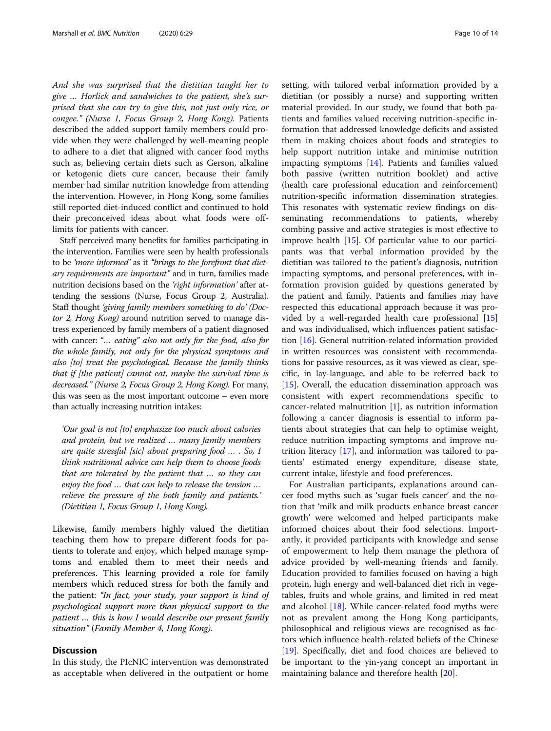And she was surprised that the dietitian taught her to give … Horlick and sandwiches to the patient, she's surprised that she can try to give this, not just only rice, or congee." (Nurse 1, Focus Group 2, Hong Kong). Patients described the added support family members could provide when they were challenged by well-meaning people to adhere to a diet that aligned with cancer food myths such as, believing certain diets such as Gerson, alkaline or ketogenic diets cure cancer, because their family member had similar nutrition knowledge from attending the intervention. However, in Hong Kong, some families still reported diet-induced conflict and continued to hold their preconceived ideas about what foods were offlimits for patients with cancer.

Staff perceived many benefits for families participating in the intervention. Families were seen by health professionals to be 'more informed' as it "brings to the forefront that dietary requirements are important" and in turn, families made nutrition decisions based on the 'right information' after attending the sessions (Nurse, Focus Group 2, Australia). Staff thought 'giving family members something to do' (Doctor 2, Hong Kong) around nutrition served to manage distress experienced by family members of a patient diagnosed with cancer: "... eating" also not only for the food, also for the whole family, not only for the physical symptoms and also [to] treat the psychological. Because the family thinks that if [the patient] cannot eat, maybe the survival time is decreased." (Nurse 2, Focus Group 2, Hong Kong). For many, this was seen as the most important outcome – even more than actually increasing nutrition intakes:

'Our goal is not [to] emphasize too much about calories and protein, but we realized … many family members are quite stressful [sic] about preparing food … . So, I think nutritional advice can help them to choose foods that are tolerated by the patient that … so they can enjoy the food … that can help to release the tension … relieve the pressure of the both family and patients.' (Dietitian 1, Focus Group 1, Hong Kong).

Likewise, family members highly valued the dietitian teaching them how to prepare different foods for patients to tolerate and enjoy, which helped manage symptoms and enabled them to meet their needs and preferences. This learning provided a role for family members which reduced stress for both the family and the patient: "In fact, your study, your support is kind of psychological support more than physical support to the patient … this is how I would describe our present family situation" (Family Member 4, Hong Kong).

#### **Discussion**

In this study, the PIcNIC intervention was demonstrated as acceptable when delivered in the outpatient or home setting, with tailored verbal information provided by a dietitian (or possibly a nurse) and supporting written material provided. In our study, we found that both patients and families valued receiving nutrition-specific information that addressed knowledge deficits and assisted them in making choices about foods and strategies to help support nutrition intake and minimise nutrition impacting symptoms [[14](#page-12-0)]. Patients and families valued both passive (written nutrition booklet) and active (health care professional education and reinforcement) nutrition-specific information dissemination strategies. This resonates with systematic review findings on disseminating recommendations to patients, whereby combing passive and active strategies is most effective to improve health [\[15\]](#page-12-0). Of particular value to our participants was that verbal information provided by the dietitian was tailored to the patient's diagnosis, nutrition impacting symptoms, and personal preferences, with information provision guided by questions generated by the patient and family. Patients and families may have respected this educational approach because it was provided by a well-regarded health care professional [[15](#page-12-0)] and was individualised, which influences patient satisfaction [\[16\]](#page-12-0). General nutrition-related information provided in written resources was consistent with recommendations for passive resources, as it was viewed as clear, specific, in lay-language, and able to be referred back to [[15\]](#page-12-0). Overall, the education dissemination approach was consistent with expert recommendations specific to cancer-related malnutrition [[1\]](#page-12-0), as nutrition information following a cancer diagnosis is essential to inform patients about strategies that can help to optimise weight, reduce nutrition impacting symptoms and improve nutrition literacy [\[17](#page-12-0)], and information was tailored to patients' estimated energy expenditure, disease state, current intake, lifestyle and food preferences.

For Australian participants, explanations around cancer food myths such as 'sugar fuels cancer' and the notion that 'milk and milk products enhance breast cancer growth' were welcomed and helped participants make informed choices about their food selections. Importantly, it provided participants with knowledge and sense of empowerment to help them manage the plethora of advice provided by well-meaning friends and family. Education provided to families focused on having a high protein, high energy and well-balanced diet rich in vegetables, fruits and whole grains, and limited in red meat and alcohol [[18\]](#page-12-0). While cancer-related food myths were not as prevalent among the Hong Kong participants, philosophical and religious views are recognised as factors which influence health-related beliefs of the Chinese [[19\]](#page-12-0). Specifically, diet and food choices are believed to be important to the yin-yang concept an important in maintaining balance and therefore health [\[20](#page-12-0)].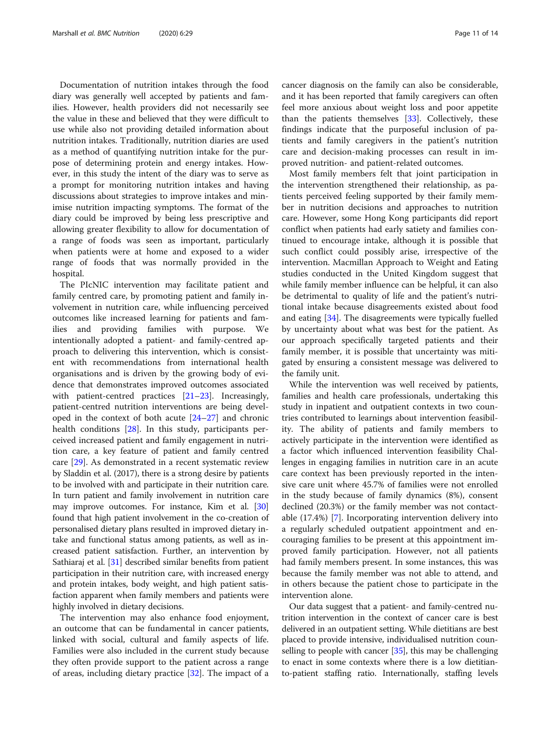Documentation of nutrition intakes through the food diary was generally well accepted by patients and families. However, health providers did not necessarily see the value in these and believed that they were difficult to use while also not providing detailed information about nutrition intakes. Traditionally, nutrition diaries are used as a method of quantifying nutrition intake for the purpose of determining protein and energy intakes. However, in this study the intent of the diary was to serve as a prompt for monitoring nutrition intakes and having discussions about strategies to improve intakes and minimise nutrition impacting symptoms. The format of the diary could be improved by being less prescriptive and allowing greater flexibility to allow for documentation of a range of foods was seen as important, particularly when patients were at home and exposed to a wider range of foods that was normally provided in the hospital.

The PIcNIC intervention may facilitate patient and family centred care, by promoting patient and family involvement in nutrition care, while influencing perceived outcomes like increased learning for patients and families and providing families with purpose. We intentionally adopted a patient- and family-centred approach to delivering this intervention, which is consistent with recommendations from international health organisations and is driven by the growing body of evidence that demonstrates improved outcomes associated with patient-centred practices [\[21](#page-12-0)–[23](#page-12-0)]. Increasingly, patient-centred nutrition interventions are being developed in the context of both acute [[24](#page-12-0)–[27](#page-12-0)] and chronic health conditions [[28\]](#page-12-0). In this study, participants perceived increased patient and family engagement in nutrition care, a key feature of patient and family centred care [[29\]](#page-12-0). As demonstrated in a recent systematic review by Sladdin et al. (2017), there is a strong desire by patients to be involved with and participate in their nutrition care. In turn patient and family involvement in nutrition care may improve outcomes. For instance, Kim et al. [[30](#page-12-0)] found that high patient involvement in the co-creation of personalised dietary plans resulted in improved dietary intake and functional status among patients, as well as increased patient satisfaction. Further, an intervention by Sathiaraj et al. [[31](#page-12-0)] described similar benefits from patient participation in their nutrition care, with increased energy and protein intakes, body weight, and high patient satisfaction apparent when family members and patients were highly involved in dietary decisions.

The intervention may also enhance food enjoyment, an outcome that can be fundamental in cancer patients, linked with social, cultural and family aspects of life. Families were also included in the current study because they often provide support to the patient across a range of areas, including dietary practice [[32](#page-12-0)]. The impact of a cancer diagnosis on the family can also be considerable, and it has been reported that family caregivers can often feel more anxious about weight loss and poor appetite than the patients themselves  $[33]$  $[33]$  $[33]$ . Collectively, these findings indicate that the purposeful inclusion of patients and family caregivers in the patient's nutrition care and decision-making processes can result in improved nutrition- and patient-related outcomes.

Most family members felt that joint participation in the intervention strengthened their relationship, as patients perceived feeling supported by their family member in nutrition decisions and approaches to nutrition care. However, some Hong Kong participants did report conflict when patients had early satiety and families continued to encourage intake, although it is possible that such conflict could possibly arise, irrespective of the intervention. Macmillan Approach to Weight and Eating studies conducted in the United Kingdom suggest that while family member influence can be helpful, it can also be detrimental to quality of life and the patient's nutritional intake because disagreements existed about food and eating [[34](#page-12-0)]. The disagreements were typically fuelled by uncertainty about what was best for the patient. As our approach specifically targeted patients and their family member, it is possible that uncertainty was mitigated by ensuring a consistent message was delivered to the family unit.

While the intervention was well received by patients, families and health care professionals, undertaking this study in inpatient and outpatient contexts in two countries contributed to learnings about intervention feasibility. The ability of patients and family members to actively participate in the intervention were identified as a factor which influenced intervention feasibility Challenges in engaging families in nutrition care in an acute care context has been previously reported in the intensive care unit where 45.7% of families were not enrolled in the study because of family dynamics (8%), consent declined (20.3%) or the family member was not contactable (17.4%) [\[7](#page-12-0)]. Incorporating intervention delivery into a regularly scheduled outpatient appointment and encouraging families to be present at this appointment improved family participation. However, not all patients had family members present. In some instances, this was because the family member was not able to attend, and in others because the patient chose to participate in the intervention alone.

Our data suggest that a patient- and family-centred nutrition intervention in the context of cancer care is best delivered in an outpatient setting. While dietitians are best placed to provide intensive, individualised nutrition counselling to people with cancer [\[35\]](#page-12-0), this may be challenging to enact in some contexts where there is a low dietitianto-patient staffing ratio. Internationally, staffing levels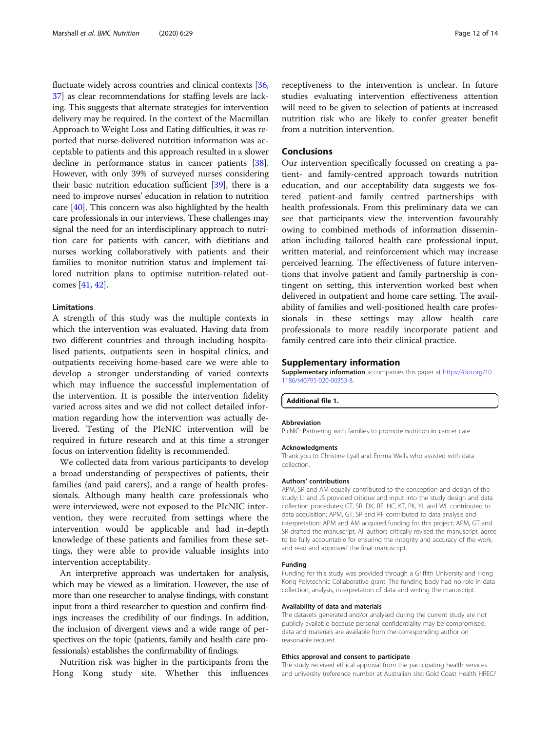<span id="page-11-0"></span>fluctuate widely across countries and clinical contexts [[36](#page-12-0), [37](#page-13-0)] as clear recommendations for staffing levels are lacking. This suggests that alternate strategies for intervention delivery may be required. In the context of the Macmillan Approach to Weight Loss and Eating difficulties, it was reported that nurse-delivered nutrition information was acceptable to patients and this approach resulted in a slower decline in performance status in cancer patients [[38](#page-13-0)]. However, with only 39% of surveyed nurses considering their basic nutrition education sufficient [\[39](#page-13-0)], there is a need to improve nurses' education in relation to nutrition care [\[40](#page-13-0)]. This concern was also highlighted by the health care professionals in our interviews. These challenges may signal the need for an interdisciplinary approach to nutrition care for patients with cancer, with dietitians and nurses working collaboratively with patients and their families to monitor nutrition status and implement tailored nutrition plans to optimise nutrition-related outcomes [[41](#page-13-0), [42\]](#page-13-0).

#### Limitations

A strength of this study was the multiple contexts in which the intervention was evaluated. Having data from two different countries and through including hospitalised patients, outpatients seen in hospital clinics, and outpatients receiving home-based care we were able to develop a stronger understanding of varied contexts which may influence the successful implementation of the intervention. It is possible the intervention fidelity varied across sites and we did not collect detailed information regarding how the intervention was actually delivered. Testing of the PIcNIC intervention will be required in future research and at this time a stronger focus on intervention fidelity is recommended.

We collected data from various participants to develop a broad understanding of perspectives of patients, their families (and paid carers), and a range of health professionals. Although many health care professionals who were interviewed, were not exposed to the PIcNIC intervention, they were recruited from settings where the intervention would be applicable and had in-depth knowledge of these patients and families from these settings, they were able to provide valuable insights into intervention acceptability.

An interpretive approach was undertaken for analysis, which may be viewed as a limitation. However, the use of more than one researcher to analyse findings, with constant input from a third researcher to question and confirm findings increases the credibility of our findings. In addition, the inclusion of divergent views and a wide range of perspectives on the topic (patients, family and health care professionals) establishes the confirmability of findings.

Nutrition risk was higher in the participants from the Hong Kong study site. Whether this influences receptiveness to the intervention is unclear. In future studies evaluating intervention effectiveness attention will need to be given to selection of patients at increased nutrition risk who are likely to confer greater benefit from a nutrition intervention.

#### Conclusions

Our intervention specifically focussed on creating a patient- and family-centred approach towards nutrition education, and our acceptability data suggests we fostered patient-and family centred partnerships with health professionals. From this preliminary data we can see that participants view the intervention favourably owing to combined methods of information dissemination including tailored health care professional input, written material, and reinforcement which may increase perceived learning. The effectiveness of future interventions that involve patient and family partnership is contingent on setting, this intervention worked best when delivered in outpatient and home care setting. The availability of families and well-positioned health care professionals in these settings may allow health care professionals to more readily incorporate patient and family centred care into their clinical practice.

#### Supplementary information

Supplementary information accompanies this paper at [https://doi.org/10.](https://doi.org/10.1186/s40795-020-00353-8) [1186/s40795-020-00353-8](https://doi.org/10.1186/s40795-020-00353-8).

#### Additional file 1.

#### **Abbreviation**

PIcNIC: Partnering with families to promote nutrition in cancer care

#### Acknowledgments

Thank you to Christine Lyall and Emma Wells who assisted with data collection.

#### Authors' contributions

APM, SR and AM equally contributed to the conception and design of the study; LI and JS provided critique and input into the study design and data collection procedures; GT, SR, DK, RF, HC, KT, PK, YL and WL contributed to data acquisition; APM, GT, SR and RF contributed to data analysis and interpretation; APM and AM acquired funding for this project; APM, GT and SR drafted the manuscript; All authors critically revised the manuscript, agree to be fully accountable for ensuring the integrity and accuracy of the work, and read and approved the final manuscript.

#### Funding

Funding for this study was provided through a Griffith University and Hong Kong Polytechnic Collaborative grant. The funding body had no role in data collection, analysis, interpretation of data and writing the manuscript.

#### Availability of data and materials

The datasets generated and/or analysed during the current study are not publicly available because personal confidentiality may be compromised, data and materials are available from the corresponding author on reasonable request.

#### Ethics approval and consent to participate

The study received ethical approval from the participating health services and university (reference number at Australian site: Gold Coast Health HREC/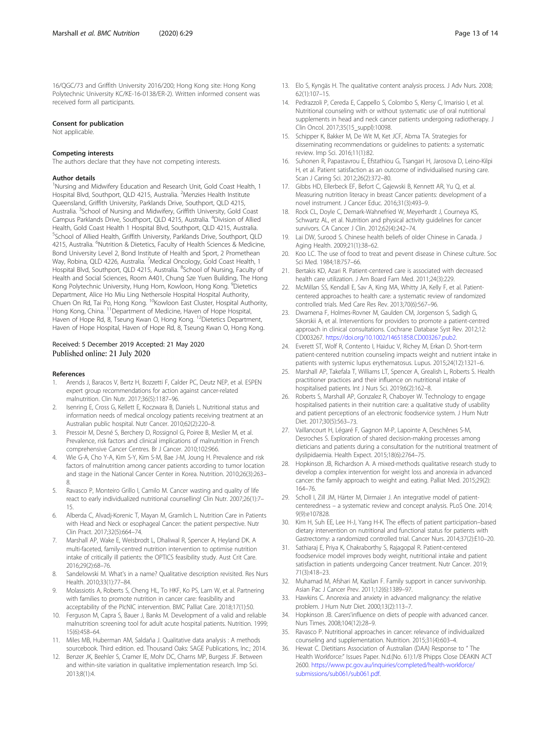#### <span id="page-12-0"></span>Consent for publication

Not applicable.

#### Competing interests

The authors declare that they have not competing interests.

#### Author details

<sup>1</sup>Nursing and Midwifery Education and Research Unit, Gold Coast Health, 1 Hospital Blvd, Southport, QLD 4215, Australia. <sup>2</sup>Menzies Health Institute Queensland, Griffith University, Parklands Drive, Southport, QLD 4215, Australia. <sup>3</sup>School of Nursing and Midwifery, Griffith University, Gold Coast Campus Parklands Drive, Southport, QLD 4215, Australia. <sup>4</sup>Division of Allied Health, Gold Coast Health 1 Hospital Blvd, Southport, QLD 4215, Australia. 5 School of Allied Health, Griffith University, Parklands Drive, Southport, QLD 4215, Australia. <sup>6</sup>Nutrition & Dietetics, Faculty of Health Sciences & Medicine, Bond University Level 2, Bond Institute of Health and Sport, 2 Promethean Way, Robina, QLD 4226, Australia. <sup>7</sup>Medical Oncology, Gold Coast Health, 1 Hospital Blvd, Southport, QLD 4215, Australia. <sup>8</sup>School of Nursing, Faculty of Health and Social Sciences, Room A401, Chung Sze Yuen Building, The Hong Kong Polytechnic University, Hung Hom, Kowloon, Hong Kong. <sup>9</sup>Dietetics Department, Alice Ho Miu Ling Nethersole Hospital Hospital Authority, Chuen On Rd, Tai Po, Hong Kong. <sup>10</sup>Kowloon East Cluster, Hospital Authority, Hong Kong, China. <sup>11</sup>Department of Medicine, Haven of Hope Hospital, Haven of Hope Rd, 8, Tseung Kwan O, Hong Kong. <sup>12</sup>Dietetics Department, Haven of Hope Hospital, Haven of Hope Rd, 8, Tseung Kwan O, Hong Kong.

# Received: 5 December 2019 Accepted: 21 May 2020<br>Published online: 21 July 2020

#### References

- 1. Arends J, Baracos V, Bertz H, Bozzetti F, Calder PC, Deutz NEP, et al. ESPEN expert group recommendations for action against cancer-related malnutrition. Clin Nutr. 2017;36(5):1187–96.
- 2. Isenring E, Cross G, Kellett E, Koczwara B, Daniels L. Nutritional status and information needs of medical oncology patients receiving treatment at an Australian public hospital. Nutr Cancer. 2010;62(2):220–8.
- 3. Pressoir M, Desné S, Berchery D, Rossignol G, Poiree B, Meslier M, et al. Prevalence, risk factors and clinical implications of malnutrition in French comprehensive Cancer Centres. Br J Cancer. 2010;102:966.
- 4. Wie G-A, Cho Y-A, Kim S-Y, Kim S-M, Bae J-M, Joung H. Prevalence and risk factors of malnutrition among cancer patients according to tumor location and stage in the National Cancer Center in Korea. Nutrition. 2010;26(3):263– 8.
- 5. Ravasco P, Monteiro Grillo I, Camilo M. Cancer wasting and quality of life react to early individualized nutritional counselling! Clin Nutr. 2007;26(1):7– 15.
- 6. Alberda C, Alvadj-Korenic T, Mayan M, Gramlich L. Nutrition Care in Patients with Head and Neck or esophageal Cancer: the patient perspective. Nutr Clin Pract. 2017;32(5):664–74.
- 7. Marshall AP, Wake E, Weisbrodt L, Dhaliwal R, Spencer A, Heyland DK. A multi-faceted, family-centred nutrition intervention to optimise nutrition intake of critically ill patients: the OPTICS feasibility study. Aust Crit Care. 2016;29(2):68–76.
- 8. Sandelowski M. What's in a name? Qualitative description revisited. Res Nurs Health. 2010;33(1):77–84.
- 9. Molassiotis A, Roberts S, Cheng HL, To HKF, Ko PS, Lam W, et al. Partnering with families to promote nutrition in cancer care: feasibility and acceptability of the PIcNIC intervention. BMC Palliat Care. 2018;17(1):50.
- 10. Ferguson M, Capra S, Bauer J, Banks M. Development of a valid and reliable malnutrition screening tool for adult acute hospital patients. Nutrition. 1999; 15(6):458–64.
- 11. Miles MB, Huberman AM, Saldaña J. Qualitative data analysis : A methods sourcebook. Third edition. ed. Thousand Oaks: SAGE Publications, Inc.; 2014.
- 12. Benzer JK, Beehler S, Cramer IE, Mohr DC, Charns MP, Burgess JF. Between and within-site variation in qualitative implementation research. Imp Sci. 2013;8(1):4.
- 13. Elo S, Kyngäs H. The qualitative content analysis process. J Adv Nurs. 2008; 62(1):107–15.
- 14. Pedrazzoli P, Cereda E, Cappello S, Colombo S, Klersy C, Imarisio I, et al. Nutritional counseling with or without systematic use of oral nutritional supplements in head and neck cancer patients undergoing radiotherapy. J Clin Oncol. 2017;35(15\_suppl):10098.
- 15. Schipper K, Bakker M, De Wit M, Ket JCF, Abma TA. Strategies for disseminating recommendations or guidelines to patients: a systematic review. Imp Sci. 2016;11(1):82.
- 16. Suhonen R, Papastavrou E, Efstathiou G, Tsangari H, Jarosova D, Leino-Kilpi H, et al. Patient satisfaction as an outcome of individualised nursing care. Scan J Caring Sci. 2012;26(2):372–80.
- 17. Gibbs HD, Ellerbeck EF, Befort C, Gajewski B, Kennett AR, Yu Q, et al. Measuring nutrition literacy in breast Cancer patients: development of a novel instrument. J Cancer Educ. 2016;31(3):493–9.
- 18. Rock CL, Doyle C, Demark-Wahnefried W, Meyerhardt J, Courneya KS, Schwartz AL, et al. Nutrition and physical activity guidelines for cancer survivors. CA Cancer J Clin. 2012;62(4):242–74.
- 19. Lai DW, Surood S. Chinese health beliefs of older Chinese in Canada. J Aging Health. 2009;21(1):38–62.
- 20. Koo LC. The use of food to treat and pevent disease in Chinese culture. Soc Sci Med. 1984;18:757–66.
- 21. Bertakis KD, Azari R. Patient-centered care is associated with decreased health care utilization. J Am Board Fam Med. 2011;24(3):229.
- 22. McMillan SS, Kendall E, Sav A, King MA, Whitty JA, Kelly F, et al. Patientcentered approaches to health care: a systematic review of randomized controlled trials. Med Care Res Rev. 2013;70(6):567–96.
- 23. Dwamena F, Holmes-Rovner M, Gaulden CM, Jorgenson S, Sadigh G, Sikorskii A, et al. Interventions for providers to promote a patient-centred approach in clinical consultations. Cochrane Database Syst Rev. 2012;12: CD003267. [https://doi.org/10.1002/14651858.CD003267.pub2.](https://doi.org/10.1002/14651858.CD003267.pub2)
- 24. Everett ST, Wolf R, Contento I, Haiduc V, Richey M, Erkan D. Short-term patient-centered nutrition counseling impacts weight and nutrient intake in patients with systemic lupus erythematosus. Lupus. 2015;24(12):1321–6.
- 25. Marshall AP, Takefala T, Williams LT, Spencer A, Grealish L, Roberts S. Health practitioner practices and their influence on nutritional intake of hospitalised patients. Int J Nurs Sci. 2019;6(2):162–8.
- 26. Roberts S, Marshall AP, Gonzalez R, Chaboyer W. Technology to engage hospitalised patients in their nutrition care: a qualitative study of usability and patient perceptions of an electronic foodservice system. J Hum Nutr Diet. 2017;30(5):563–73.
- 27. Vaillancourt H, Légaré F, Gagnon M-P, Lapointe A, Deschênes S-M, Desroches S. Exploration of shared decision-making processes among dieticians and patients during a consultation for the nutritional treatment of dyslipidaemia. Health Expect. 2015;18(6):2764–75.
- 28. Hopkinson JB, Richardson A. A mixed-methods qualitative research study to develop a complex intervention for weight loss and anorexia in advanced cancer: the family approach to weight and eating. Palliat Med. 2015;29(2): 164–76.
- 29. Scholl I, Zill JM, Härter M, Dirmaier J. An integrative model of patientcenteredness – a systematic review and concept analysis. PLoS One. 2014; 9(9):e107828.
- 30. Kim H, Suh EE, Lee H-J, Yang H-K. The effects of patient participation–based dietary intervention on nutritional and functional status for patients with Gastrectomy: a randomized controlled trial. Cancer Nurs. 2014;37(2):E10–20.
- 31. Sathiaraj E, Priya K, Chakraborthy S, Rajagopal R. Patient-centered foodservice model improves body weight, nutritional intake and patient satisfaction in patients undergoing Cancer treatment. Nutr Cancer. 2019; 71(3):418–23.
- 32. Muhamad M, Afshari M, Kazilan F. Family support in cancer survivorship. Asian Pac J Cancer Prev. 2011;12(6):1389–97.
- 33. Hawkins C. Anorexia and anxiety in advanced malignancy: the relative problem. J Hum Nutr Diet. 2000;13(2):113–7.
- 34. Hopkinson JB. Carers'influence on diets of people with advanced cancer. Nurs Times. 2008;104(12):28–9.
- 35. Ravasco P. Nutritional approaches in cancer: relevance of individualized counseling and supplementation. Nutrition. 2015;31(4):603–4.
- 36. Hewat C. Dietitians Association of Australian (DAA) Response to " The Health Workforce:" Issues Paper. N.d.(No. 61):1/8 Phipps Close DEAKIN ACT 2600. [https://www.pc.gov.au/inquiries/completed/health-workforce/](https://www.pc.gov.au/inquiries/completed/health-workforce/submissions/sub061/sub061.pdf) [submissions/sub061/sub061.pdf](https://www.pc.gov.au/inquiries/completed/health-workforce/submissions/sub061/sub061.pdf).